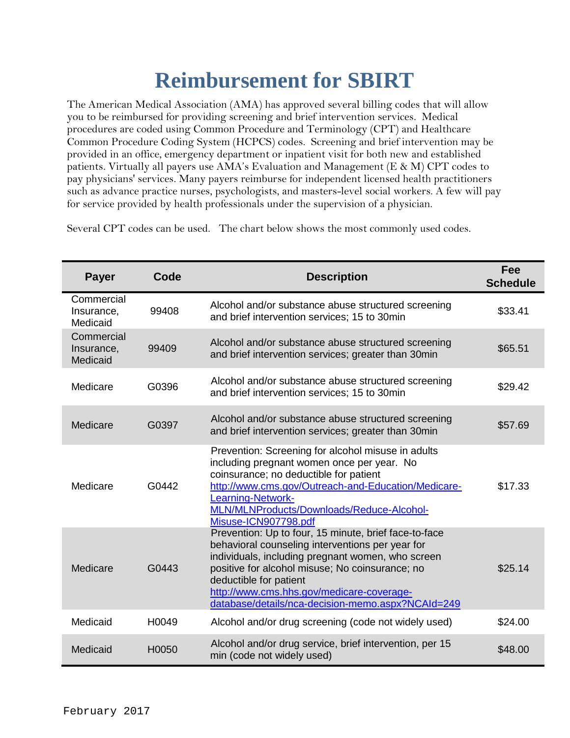## **Reimbursement for SBIRT**

The American Medical Association (AMA) has approved several billing codes that will allow you to be reimbursed for providing screening and brief intervention services. Medical procedures are coded using Common Procedure and Terminology (CPT) and Healthcare Common Procedure Coding System (HCPCS) codes. Screening and brief intervention may be provided in an office, emergency department or inpatient visit for both new and established patients. Virtually all payers use AMA's Evaluation and Management (E & M) CPT codes to pay physicians' services. Many payers reimburse for independent licensed health practitioners such as advance practice nurses, psychologists, and masters-level social workers. A few will pay for service provided by health professionals under the supervision of a physician.

Several CPT codes can be used. The chart below shows the most commonly used codes.

| <b>Payer</b>                         | Code  | <b>Description</b>                                                                                                                                                                                                                                                                                                                            | Fee<br><b>Schedule</b> |
|--------------------------------------|-------|-----------------------------------------------------------------------------------------------------------------------------------------------------------------------------------------------------------------------------------------------------------------------------------------------------------------------------------------------|------------------------|
| Commercial<br>Insurance,<br>Medicaid | 99408 | Alcohol and/or substance abuse structured screening<br>and brief intervention services; 15 to 30min                                                                                                                                                                                                                                           | \$33.41                |
| Commercial<br>Insurance,<br>Medicaid | 99409 | Alcohol and/or substance abuse structured screening<br>and brief intervention services; greater than 30min                                                                                                                                                                                                                                    | \$65.51                |
| Medicare                             | G0396 | Alcohol and/or substance abuse structured screening<br>and brief intervention services; 15 to 30min                                                                                                                                                                                                                                           | \$29.42                |
| Medicare                             | G0397 | Alcohol and/or substance abuse structured screening<br>and brief intervention services; greater than 30min                                                                                                                                                                                                                                    | \$57.69                |
| Medicare                             | G0442 | Prevention: Screening for alcohol misuse in adults<br>including pregnant women once per year. No<br>coinsurance; no deductible for patient<br>http://www.cms.gov/Outreach-and-Education/Medicare-<br>Learning-Network-<br>MLN/MLNProducts/Downloads/Reduce-Alcohol-<br>Misuse-ICN907798.pdf                                                   | \$17.33                |
| Medicare                             | G0443 | Prevention: Up to four, 15 minute, brief face-to-face<br>behavioral counseling interventions per year for<br>individuals, including pregnant women, who screen<br>positive for alcohol misuse; No coinsurance; no<br>deductible for patient<br>http://www.cms.hhs.gov/medicare-coverage-<br>database/details/nca-decision-memo.aspx?NCAId=249 | \$25.14                |
| Medicaid                             | H0049 | Alcohol and/or drug screening (code not widely used)                                                                                                                                                                                                                                                                                          | \$24.00                |
| Medicaid                             | H0050 | Alcohol and/or drug service, brief intervention, per 15<br>min (code not widely used)                                                                                                                                                                                                                                                         | \$48.00                |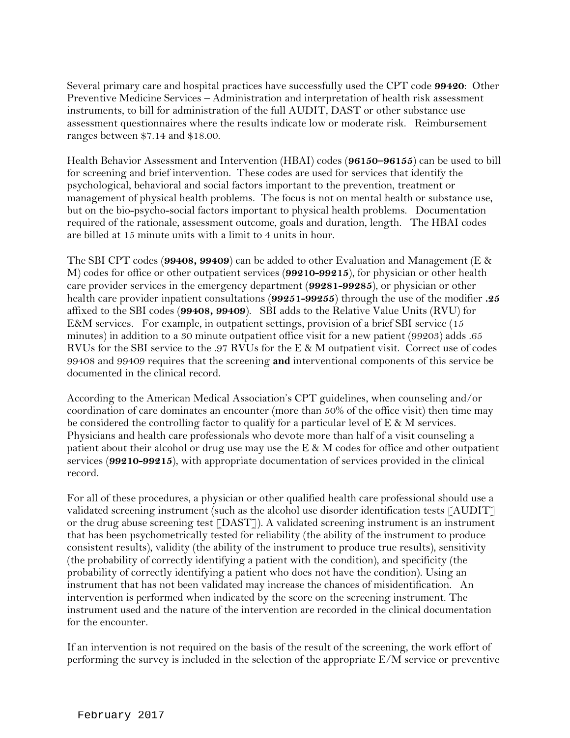Several primary care and hospital practices have successfully used the CPT code **99420**: Other Preventive Medicine Services – Administration and interpretation of health risk assessment instruments, to bill for administration of the full AUDIT, DAST or other substance use assessment questionnaires where the results indicate low or moderate risk. Reimbursement ranges between \$7.14 and \$18.00.

Health Behavior Assessment and Intervention (HBAI) codes (**96150–96155**) can be used to bill for screening and brief intervention. These codes are used for services that identify the psychological, behavioral and social factors important to the prevention, treatment or management of physical health problems. The focus is not on mental health or substance use, but on the bio-psycho-social factors important to physical health problems. Documentation required of the rationale, assessment outcome, goals and duration, length. The HBAI codes are billed at 15 minute units with a limit to 4 units in hour.

The SBI CPT codes (**99408, 99409**) can be added to other Evaluation and Management (E & M) codes for office or other outpatient services (**99210-99215**), for physician or other health care provider services in the emergency department (**99281-99285**), or physician or other health care provider inpatient consultations (**99251-99255**) through the use of the modifier **.25** affixed to the SBI codes (**99408, 99409**). SBI adds to the Relative Value Units (RVU) for E&M services. For example, in outpatient settings, provision of a brief SBI service (15 minutes) in addition to a 30 minute outpatient office visit for a new patient (99203) adds .65 RVUs for the SBI service to the .97 RVUs for the E & M outpatient visit. Correct use of codes 99408 and 99409 requires that the screening **and** interventional components of this service be documented in the clinical record.

According to the American Medical Association's CPT guidelines, when counseling and/or coordination of care dominates an encounter (more than 50% of the office visit) then time may be considered the controlling factor to qualify for a particular level of  $E \& M$  services. Physicians and health care professionals who devote more than half of a visit counseling a patient about their alcohol or drug use may use the  $E \& M$  codes for office and other outpatient services (**99210-99215**), with appropriate documentation of services provided in the clinical record.

For all of these procedures, a physician or other qualified health care professional should use a validated screening instrument (such as the alcohol use disorder identification tests [AUDIT] or the drug abuse screening test [DAST]). A validated screening instrument is an instrument that has been psychometrically tested for reliability (the ability of the instrument to produce consistent results), validity (the ability of the instrument to produce true results), sensitivity (the probability of correctly identifying a patient with the condition), and specificity (the probability of correctly identifying a patient who does not have the condition). Using an instrument that has not been validated may increase the chances of misidentification. An intervention is performed when indicated by the score on the screening instrument. The instrument used and the nature of the intervention are recorded in the clinical documentation for the encounter.

If an intervention is not required on the basis of the result of the screening, the work effort of performing the survey is included in the selection of the appropriate E/M service or preventive